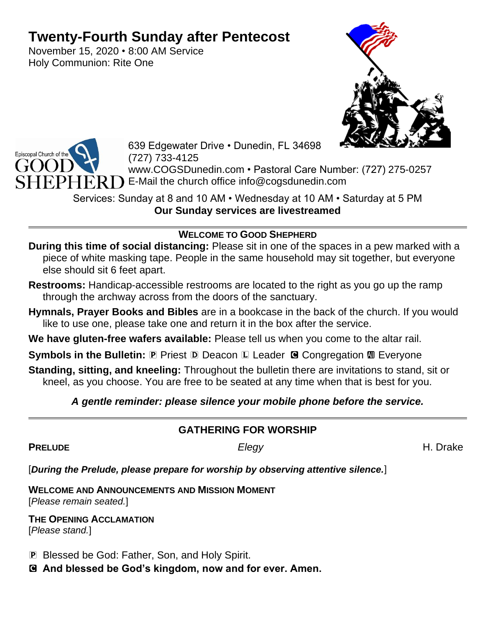# **Twenty-Fourth Sunday after Pentecost**

November 15, 2020 • 8:00 AM Service Holy Communion: Rite One





639 Edgewater Drive • Dunedin, FL 34698 (727) 733-4125 www.COGSDunedin.com • Pastoral Care Number: (727) 275-0257

 $\{|\}$   $\}$  E-Mail the church office info@cogsdunedin.com

Services: Sunday at 8 and 10 AM • Wednesday at 10 AM • Saturday at 5 PM **Our Sunday services are livestreamed**

## **WELCOME TO GOOD SHEPHERD**

**During this time of social distancing:** Please sit in one of the spaces in a pew marked with a piece of white masking tape. People in the same household may sit together, but everyone else should sit 6 feet apart.

- **Restrooms:** Handicap-accessible restrooms are located to the right as you go up the ramp through the archway across from the doors of the sanctuary.
- **Hymnals, Prayer Books and Bibles** are in a bookcase in the back of the church. If you would like to use one, please take one and return it in the box after the service.
- **We have gluten-free wafers available:** Please tell us when you come to the altar rail.

**Symbols in the Bulletin: P** Priest **D** Deacon **L** Leader **G** Congregation **M** Everyone

**Standing, sitting, and kneeling:** Throughout the bulletin there are invitations to stand, sit or kneel, as you choose. You are free to be seated at any time when that is best for you.

## *A gentle reminder: please silence your mobile phone before the service.*

# **GATHERING FOR WORSHIP**

[*During the Prelude, please prepare for worship by observing attentive silence.*]

**WELCOME AND ANNOUNCEMENTS AND MISSION MOMENT** [*Please remain seated.*]

**THE OPENING ACCLAMATION** [*Please stand.*]

P Blessed be God: Father, Son, and Holy Spirit.

C **And blessed be God's kingdom, now and for ever. Amen.**

#### **PRELUDE** *Elegy* H. Drake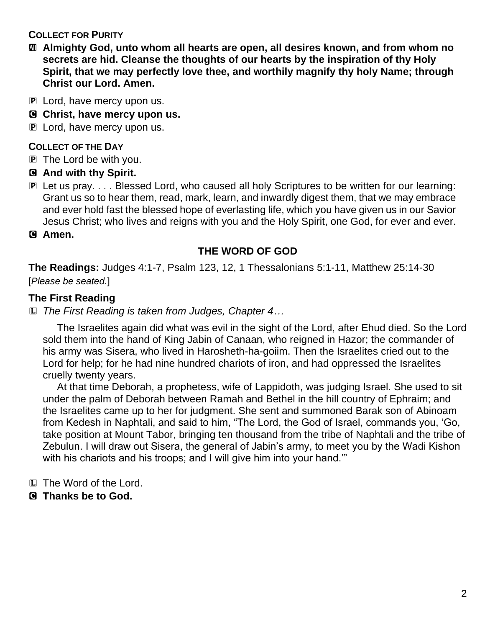**COLLECT FOR PURITY**

- a **Almighty God, unto whom all hearts are open, all desires known, and from whom no secrets are hid. Cleanse the thoughts of our hearts by the inspiration of thy Holy Spirit, that we may perfectly love thee, and worthily magnify thy holy Name; through Christ our Lord. Amen.**
- P Lord, have mercy upon us.
- C **Christ, have mercy upon us.**
- P Lord, have mercy upon us.

#### **COLLECT OF THE DAY**

- P The Lord be with you.
- C **And with thy Spirit.**
- P Let us pray. . . . Blessed Lord, who caused all holy Scriptures to be written for our learning: Grant us so to hear them, read, mark, learn, and inwardly digest them, that we may embrace and ever hold fast the blessed hope of everlasting life, which you have given us in our Savior Jesus Christ; who lives and reigns with you and the Holy Spirit, one God, for ever and ever.

#### C **Amen.**

#### **THE WORD OF GOD**

**The Readings:** Judges 4:1-7, Psalm 123, 12, 1 Thessalonians 5:1-11, Matthew 25:14-30 [*Please be seated.*]

#### **The First Reading**

L *The First Reading is taken from Judges, Chapter 4…*

The Israelites again did what was evil in the sight of the Lord, after Ehud died. So the Lord sold them into the hand of King Jabin of Canaan, who reigned in Hazor; the commander of his army was Sisera, who lived in Harosheth-ha-goiim. Then the Israelites cried out to the Lord for help; for he had nine hundred chariots of iron, and had oppressed the Israelites cruelly twenty years.

At that time Deborah, a prophetess, wife of Lappidoth, was judging Israel. She used to sit under the palm of Deborah between Ramah and Bethel in the hill country of Ephraim; and the Israelites came up to her for judgment. She sent and summoned Barak son of Abinoam from Kedesh in Naphtali, and said to him, "The Lord, the God of Israel, commands you, 'Go, take position at Mount Tabor, bringing ten thousand from the tribe of Naphtali and the tribe of Zebulun. I will draw out Sisera, the general of Jabin's army, to meet you by the Wadi Kishon with his chariots and his troops; and I will give him into your hand."

- L The Word of the Lord.
- C **Thanks be to God.**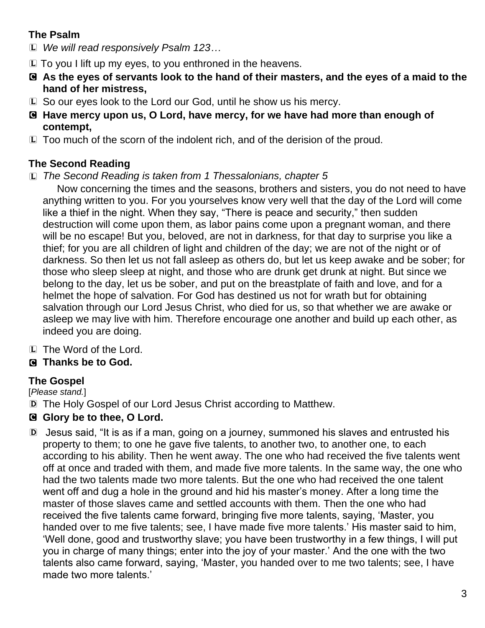## **The Psalm**

- L *We will read responsively Psalm 123…*
- L To you I lift up my eyes, to you enthroned in the heavens.
- C **As the eyes of servants look to the hand of their masters, and the eyes of a maid to the hand of her mistress,**
- L So our eyes look to the Lord our God, until he show us his mercy.
- C **Have mercy upon us, O Lord, have mercy, for we have had more than enough of contempt,**
- L Too much of the scorn of the indolent rich, and of the derision of the proud.

## **The Second Reading**

L *The Second Reading is taken from 1 Thessalonians, chapter 5*

Now concerning the times and the seasons, brothers and sisters, you do not need to have anything written to you. For you yourselves know very well that the day of the Lord will come like a thief in the night. When they say, "There is peace and security," then sudden destruction will come upon them, as labor pains come upon a pregnant woman, and there will be no escape! But you, beloved, are not in darkness, for that day to surprise you like a thief; for you are all children of light and children of the day; we are not of the night or of darkness. So then let us not fall asleep as others do, but let us keep awake and be sober; for those who sleep sleep at night, and those who are drunk get drunk at night. But since we belong to the day, let us be sober, and put on the breastplate of faith and love, and for a helmet the hope of salvation. For God has destined us not for wrath but for obtaining salvation through our Lord Jesus Christ, who died for us, so that whether we are awake or asleep we may live with him. Therefore encourage one another and build up each other, as indeed you are doing.

L The Word of the Lord.

## C **Thanks be to God.**

## **The Gospel**

## [*Please stand.*]

D The Holy Gospel of our Lord Jesus Christ according to Matthew.

## C **Glory be to thee, O Lord.**

D Jesus said, "It is as if a man, going on a journey, summoned his slaves and entrusted his property to them; to one he gave five talents, to another two, to another one, to each according to his ability. Then he went away. The one who had received the five talents went off at once and traded with them, and made five more talents. In the same way, the one who had the two talents made two more talents. But the one who had received the one talent went off and dug a hole in the ground and hid his master's money. After a long time the master of those slaves came and settled accounts with them. Then the one who had received the five talents came forward, bringing five more talents, saying, 'Master, you handed over to me five talents; see, I have made five more talents.' His master said to him, 'Well done, good and trustworthy slave; you have been trustworthy in a few things, I will put you in charge of many things; enter into the joy of your master.' And the one with the two talents also came forward, saying, 'Master, you handed over to me two talents; see, I have made two more talents.'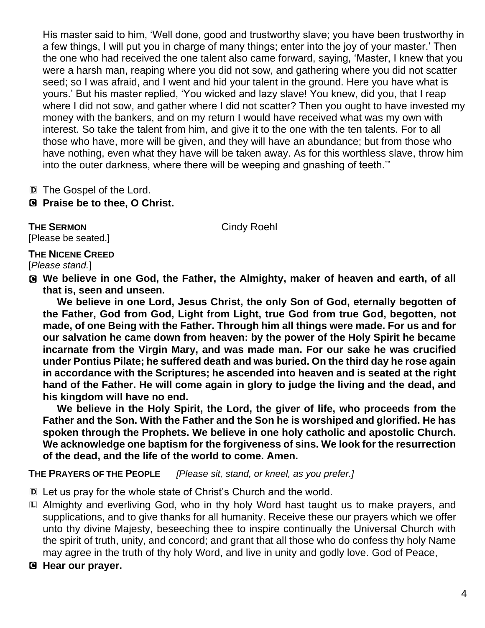His master said to him, 'Well done, good and trustworthy slave; you have been trustworthy in a few things, I will put you in charge of many things; enter into the joy of your master.' Then the one who had received the one talent also came forward, saying, 'Master, I knew that you were a harsh man, reaping where you did not sow, and gathering where you did not scatter seed; so I was afraid, and I went and hid your talent in the ground. Here you have what is yours.' But his master replied, 'You wicked and lazy slave! You knew, did you, that I reap where I did not sow, and gather where I did not scatter? Then you ought to have invested my money with the bankers, and on my return I would have received what was my own with interest. So take the talent from him, and give it to the one with the ten talents. For to all those who have, more will be given, and they will have an abundance; but from those who have nothing, even what they have will be taken away. As for this worthless slave, throw him into the outer darkness, where there will be weeping and gnashing of teeth.'"

D The Gospel of the Lord.

#### C **Praise be to thee, O Christ.**

**THE SERMON** Cindy Roehl [Please be seated.]

**THE NICENE CREED** 

[*Please stand.*]

C **We believe in one God, the Father, the Almighty, maker of heaven and earth, of all that is, seen and unseen.** 

**We believe in one Lord, Jesus Christ, the only Son of God, eternally begotten of the Father, God from God, Light from Light, true God from true God, begotten, not made, of one Being with the Father. Through him all things were made. For us and for our salvation he came down from heaven: by the power of the Holy Spirit he became incarnate from the Virgin Mary, and was made man. For our sake he was crucified under Pontius Pilate; he suffered death and was buried. On the third day he rose again in accordance with the Scriptures; he ascended into heaven and is seated at the right hand of the Father. He will come again in glory to judge the living and the dead, and his kingdom will have no end.**

**We believe in the Holy Spirit, the Lord, the giver of life, who proceeds from the Father and the Son. With the Father and the Son he is worshiped and glorified. He has spoken through the Prophets. We believe in one holy catholic and apostolic Church. We acknowledge one baptism for the forgiveness of sins. We look for the resurrection of the dead, and the life of the world to come. Amen.**

**THE PRAYERS OF THE PEOPLE** *[Please sit, stand, or kneel, as you prefer.]*

- D Let us pray for the whole state of Christ's Church and the world.
- L Almighty and everliving God, who in thy holy Word hast taught us to make prayers, and supplications, and to give thanks for all humanity. Receive these our prayers which we offer unto thy divine Majesty, beseeching thee to inspire continually the Universal Church with the spirit of truth, unity, and concord; and grant that all those who do confess thy holy Name may agree in the truth of thy holy Word, and live in unity and godly love. God of Peace,
- C **Hear our prayer.**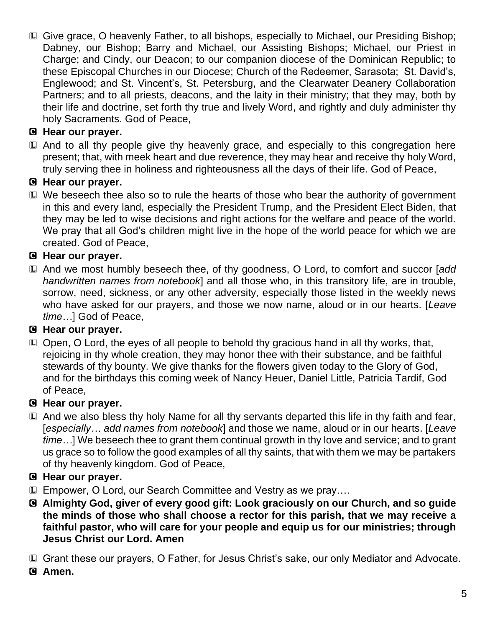L Give grace, O heavenly Father, to all bishops, especially to Michael, our Presiding Bishop; Dabney, our Bishop; Barry and Michael, our Assisting Bishops; Michael, our Priest in Charge; and Cindy, our Deacon; to our companion diocese of the Dominican Republic; to these Episcopal Churches in our Diocese; Church of the Redeemer, Sarasota; St. David's, Englewood; and St. Vincent's, St. Petersburg, and the Clearwater Deanery Collaboration Partners; and to all priests, deacons, and the laity in their ministry; that they may, both by their life and doctrine, set forth thy true and lively Word, and rightly and duly administer thy holy Sacraments. God of Peace,

## C **Hear our prayer.**

L And to all thy people give thy heavenly grace, and especially to this congregation here present; that, with meek heart and due reverence, they may hear and receive thy holy Word, truly serving thee in holiness and righteousness all the days of their life. God of Peace,

## C **Hear our prayer.**

L We beseech thee also so to rule the hearts of those who bear the authority of government in this and every land, especially the President Trump, and the President Elect Biden, that they may be led to wise decisions and right actions for the welfare and peace of the world. We pray that all God's children might live in the hope of the world peace for which we are created. God of Peace,

#### C **Hear our prayer.**

L And we most humbly beseech thee, of thy goodness, O Lord, to comfort and succor [*add handwritten names from notebook*] and all those who, in this transitory life, are in trouble, sorrow, need, sickness, or any other adversity, especially those listed in the weekly news who have asked for our prayers, and those we now name, aloud or in our hearts. [*Leave time…*] God of Peace,

## C **Hear our prayer.**

L Open, O Lord, the eyes of all people to behold thy gracious hand in all thy works, that, rejoicing in thy whole creation, they may honor thee with their substance, and be faithful stewards of thy bounty. We give thanks for the flowers given today to the Glory of God, and for the birthdays this coming week of Nancy Heuer, Daniel Little, Patricia Tardif, God of Peace,

#### C **Hear our prayer.**

L And we also bless thy holy Name for all thy servants departed this life in thy faith and fear, [*especially… add names from notebook*] and those we name, aloud or in our hearts. [*Leave time…*] We beseech thee to grant them continual growth in thy love and service; and to grant us grace so to follow the good examples of all thy saints, that with them we may be partakers of thy heavenly kingdom. God of Peace,

#### C **Hear our prayer.**

- L Empower, O Lord, our Search Committee and Vestry as we pray….
- C **Almighty God, giver of every good gift: Look graciously on our Church, and so guide the minds of those who shall choose a rector for this parish, that we may receive a faithful pastor, who will care for your people and equip us for our ministries; through Jesus Christ our Lord. Amen**

L Grant these our prayers, O Father, for Jesus Christ's sake, our only Mediator and Advocate.

C **Amen.**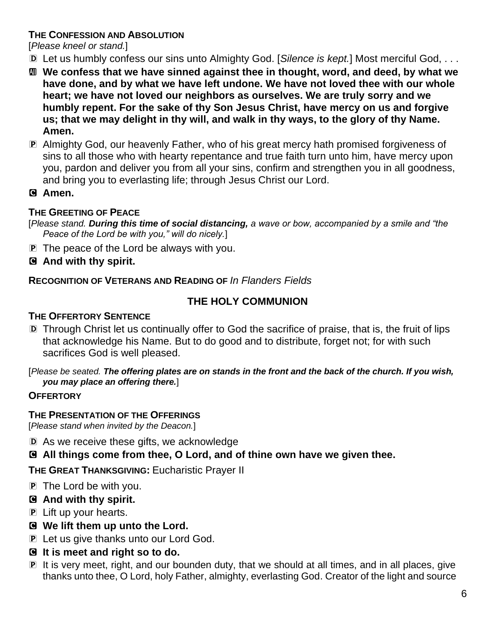#### **THE CONFESSION AND ABSOLUTION**

[*Please kneel or stand.*]

- D Let us humbly confess our sins unto Almighty God. [*Silence is kept.*] Most merciful God, . . .
- a **We confess that we have sinned against thee in thought, word, and deed, by what we have done, and by what we have left undone. We have not loved thee with our whole heart; we have not loved our neighbors as ourselves. We are truly sorry and we humbly repent. For the sake of thy Son Jesus Christ, have mercy on us and forgive us; that we may delight in thy will, and walk in thy ways, to the glory of thy Name. Amen.**
- P Almighty God, our heavenly Father, who of his great mercy hath promised forgiveness of sins to all those who with hearty repentance and true faith turn unto him, have mercy upon you, pardon and deliver you from all your sins, confirm and strengthen you in all goodness, and bring you to everlasting life; through Jesus Christ our Lord.
- C **Amen.**

## **THE GREETING OF PEACE**

[*Please stand. During this time of social distancing, a wave or bow, accompanied by a smile and "the Peace of the Lord be with you," will do nicely.*]

P The peace of the Lord be always with you.

C **And with thy spirit.**

**RECOGNITION OF VETERANS AND READING OF** *In Flanders Fields*

## **THE HOLY COMMUNION**

## **THE OFFERTORY SENTENCE**

D Through Christ let us continually offer to God the sacrifice of praise, that is, the fruit of lips that acknowledge his Name. But to do good and to distribute, forget not; for with such sacrifices God is well pleased.

[*Please be seated. The offering plates are on stands in the front and the back of the church. If you wish, you may place an offering there.*]

## **OFFERTORY**

## **THE PRESENTATION OF THE OFFERINGS**

[*Please stand when invited by the Deacon.*]

D As we receive these gifts, we acknowledge

C **All things come from thee, O Lord, and of thine own have we given thee.**

**THE GREAT THANKSGIVING:** Eucharistic Prayer II

- P The Lord be with you.
- C **And with thy spirit.**
- P Lift up your hearts.
- C **We lift them up unto the Lord.**
- P Let us give thanks unto our Lord God.
- C **It is meet and right so to do.**
- P It is very meet, right, and our bounden duty, that we should at all times, and in all places, give thanks unto thee, O Lord, holy Father, almighty, everlasting God. Creator of the light and source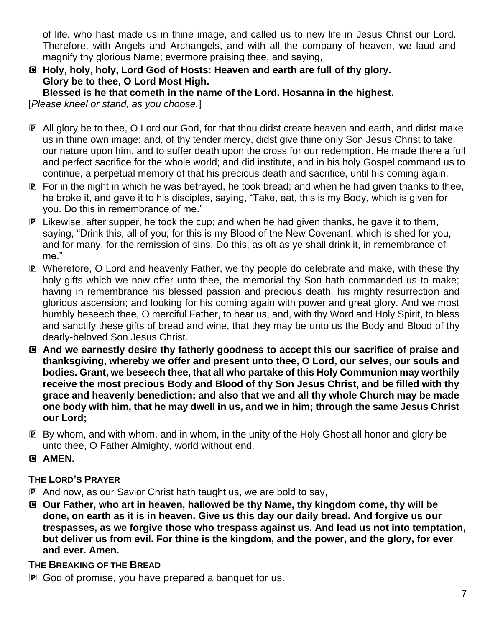of life, who hast made us in thine image, and called us to new life in Jesus Christ our Lord. Therefore, with Angels and Archangels, and with all the company of heaven, we laud and magnify thy glorious Name; evermore praising thee, and saying,

C **Holy, holy, holy, Lord God of Hosts: Heaven and earth are full of thy glory. Glory be to thee, O Lord Most High.** 

**Blessed is he that cometh in the name of the Lord. Hosanna in the highest.**

[*Please kneel or stand, as you choose.*]

- P All glory be to thee, O Lord our God, for that thou didst create heaven and earth, and didst make us in thine own image; and, of thy tender mercy, didst give thine only Son Jesus Christ to take our nature upon him, and to suffer death upon the cross for our redemption. He made there a full and perfect sacrifice for the whole world; and did institute, and in his holy Gospel command us to continue, a perpetual memory of that his precious death and sacrifice, until his coming again.
- P For in the night in which he was betrayed, he took bread; and when he had given thanks to thee, he broke it, and gave it to his disciples, saying, "Take, eat, this is my Body, which is given for you. Do this in remembrance of me."
- P Likewise, after supper, he took the cup; and when he had given thanks, he gave it to them, saying, "Drink this, all of you; for this is my Blood of the New Covenant, which is shed for you, and for many, for the remission of sins. Do this, as oft as ye shall drink it, in remembrance of me."
- P Wherefore, O Lord and heavenly Father, we thy people do celebrate and make, with these thy holy gifts which we now offer unto thee, the memorial thy Son hath commanded us to make; having in remembrance his blessed passion and precious death, his mighty resurrection and glorious ascension; and looking for his coming again with power and great glory. And we most humbly beseech thee, O merciful Father, to hear us, and, with thy Word and Holy Spirit, to bless and sanctify these gifts of bread and wine, that they may be unto us the Body and Blood of thy dearly-beloved Son Jesus Christ.
- C **And we earnestly desire thy fatherly goodness to accept this our sacrifice of praise and thanksgiving, whereby we offer and present unto thee, O Lord, our selves, our souls and bodies. Grant, we beseech thee, that all who partake of this Holy Communion may worthily receive the most precious Body and Blood of thy Son Jesus Christ, and be filled with thy grace and heavenly benediction; and also that we and all thy whole Church may be made one body with him, that he may dwell in us, and we in him; through the same Jesus Christ our Lord;**
- P By whom, and with whom, and in whom, in the unity of the Holy Ghost all honor and glory be unto thee, O Father Almighty, world without end.

## C **AMEN.**

## **THE LORD'S PRAYER**

- P And now, as our Savior Christ hath taught us, we are bold to say,
- C **Our Father, who art in heaven, hallowed be thy Name, thy kingdom come, thy will be done, on earth as it is in heaven. Give us this day our daily bread. And forgive us our trespasses, as we forgive those who trespass against us. And lead us not into temptation, but deliver us from evil. For thine is the kingdom, and the power, and the glory, for ever and ever. Amen.**

## **THE BREAKING OF THE BREAD**

P God of promise, you have prepared a banquet for us.